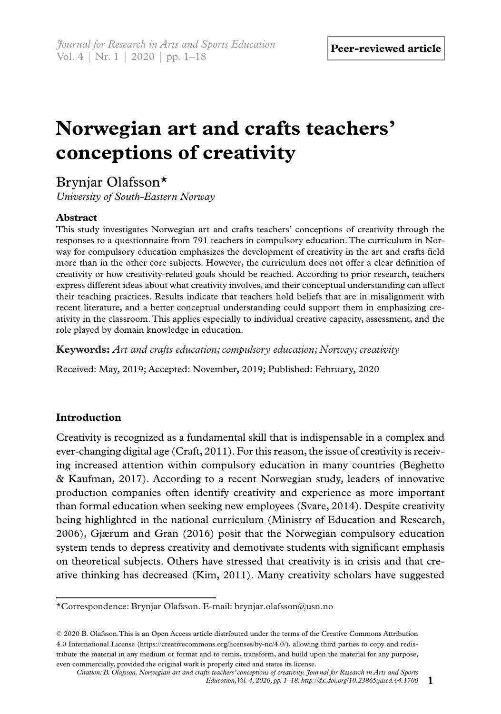# **Norwegian art and crafts teachers' conceptions of creativity**

Brynjar Olafsson\*

*University of South-Eastern Norway*

# **Abstract**

This study investigates Norwegian art and crafts teachers' conceptions of creativity through the responses to a questionnaire from 791 teachers in compulsory education. The curriculum in Norway for compulsory education emphasizes the development of creativity in the art and crafts field more than in the other core subjects. However, the curriculum does not offer a clear definition of creativity or how creativity-related goals should be reached. According to prior research, teachers express different ideas about what creativity involves, and their conceptual understanding can affect their teaching practices. Results indicate that teachers hold beliefs that are in misalignment with recent literature, and a better conceptual understanding could support them in emphasizing creativity in the classroom. This applies especially to individual creative capacity, assessment, and the role played by domain knowledge in education.

**Keywords:** *Art and crafts education; compulsory education; Norway; creativity*

Received: May, 2019; Accepted: November, 2019; Published: February, 2020

# **Introduction**

Creativity is recognized as a fundamental skill that is indispensable in a complex and ever-changing digital age (Craft, 2011). For this reason, the issue of creativity is receiving increased attention within compulsory education in many countries (Beghetto & Kaufman, 2017). According to a recent Norwegian study, leaders of innovative production companies often identify creativity and experience as more important than formal education when seeking new employees (Svare, 2014). Despite creativity being highlighted in the national curriculum (Ministry of Education and Research, 2006), Gjærum and Gran (2016) posit that the Norwegian compulsory education system tends to depress creativity and demotivate students with significant emphasis on theoretical subjects. Others have stressed that creativity is in crisis and that creative thinking has decreased (Kim, 2011). Many creativity scholars have suggested

<sup>\*</sup>Correspondence: Brynjar Olafsson. E-mail: brynjar.olafsson@usn.no

<sup>© 2020</sup> B. Olafsson.This is an Open Access article distributed under the terms of the Creative Commons Attribution 4.0 International License (https://creativecommons.org/licenses/by-nc/4.0/), allowing third parties to copy and redistribute the material in any medium or format and to remix, transform, and build upon the material for any purpose, even commercially, provided the original work is properly cited and states its license.

*Citation: B. Olafsson. Norwegian art and crafts teachers' conceptions of creativity. Journal for Research in Arts and Sports Education, Vol. 4, 2020, pp. 1–18. http://dx.doi.org/10.23865/jased.v4.1700* **1**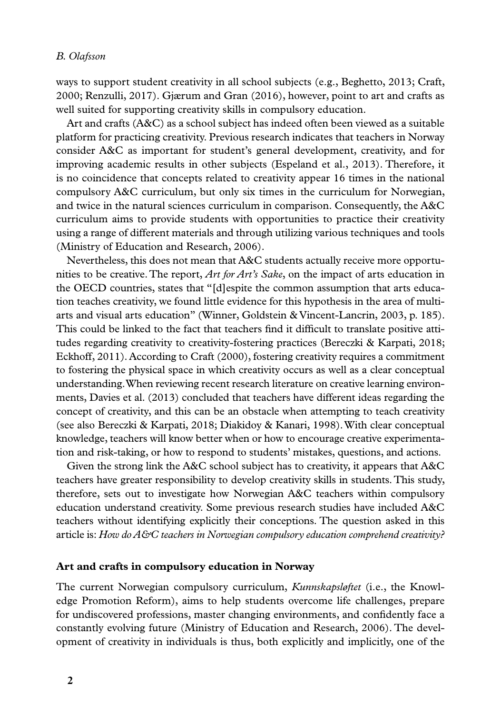ways to support student creativity in all school subjects (e.g., Beghetto, 2013; Craft, 2000; Renzulli, 2017). Gjærum and Gran (2016), however, point to art and crafts as well suited for supporting creativity skills in compulsory education.

Art and crafts (A&C) as a school subject has indeed often been viewed as a suitable platform for practicing creativity. Previous research indicates that teachers in Norway consider A&C as important for student's general development, creativity, and for improving academic results in other subjects (Espeland et al., 2013). Therefore, it is no coincidence that concepts related to creativity appear 16 times in the national compulsory A&C curriculum, but only six times in the curriculum for Norwegian, and twice in the natural sciences curriculum in comparison. Consequently, the A&C curriculum aims to provide students with opportunities to practice their creativity using a range of different materials and through utilizing various techniques and tools (Ministry of Education and Research, 2006).

Nevertheless, this does not mean that A&C students actually receive more opportunities to be creative. The report, *Art for Art's Sake*, on the impact of arts education in the OECD countries, states that "[d]espite the common assumption that arts education teaches creativity, we found little evidence for this hypothesis in the area of multiarts and visual arts education" (Winner, Goldstein & Vincent-Lancrin, 2003, p. 185). This could be linked to the fact that teachers find it difficult to translate positive attitudes regarding creativity to creativity-fostering practices (Bereczki & Karpati, 2018; Eckhoff, 2011). According to Craft (2000), fostering creativity requires a commitment to fostering the physical space in which creativity occurs as well as a clear conceptual understanding. When reviewing recent research literature on creative learning environments, Davies et al. (2013) concluded that teachers have different ideas regarding the concept of creativity, and this can be an obstacle when attempting to teach creativity (see also Bereczki & Karpati, 2018; Diakidoy & Kanari, 1998). With clear conceptual knowledge, teachers will know better when or how to encourage creative experimentation and risk-taking, or how to respond to students' mistakes, questions, and actions.

Given the strong link the A&C school subject has to creativity, it appears that A&C teachers have greater responsibility to develop creativity skills in students. This study, therefore, sets out to investigate how Norwegian A&C teachers within compulsory education understand creativity. Some previous research studies have included A&C teachers without identifying explicitly their conceptions. The question asked in this article is: *How do A&C teachers in Norwegian compulsory education comprehend creativity?* 

#### **Art and crafts in compulsory education in Norway**

The current Norwegian compulsory curriculum, *Kunnskapsløftet* (i.e., the Knowledge Promotion Reform), aims to help students overcome life challenges, prepare for undiscovered professions, master changing environments, and confidently face a constantly evolving future (Ministry of Education and Research, 2006). The development of creativity in individuals is thus, both explicitly and implicitly, one of the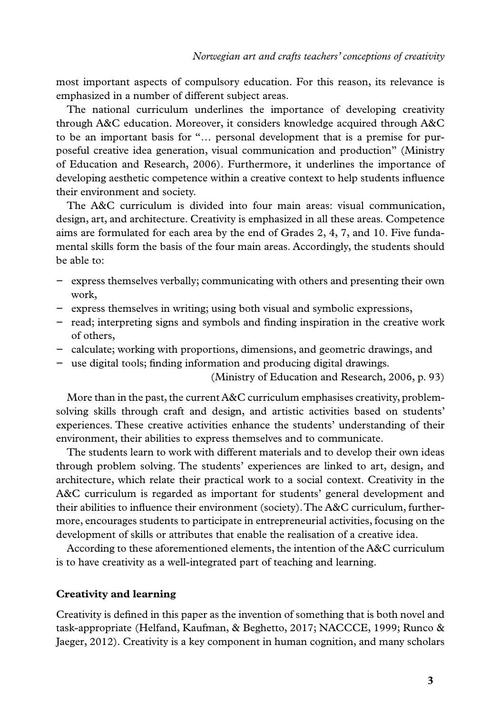most important aspects of compulsory education. For this reason, its relevance is emphasized in a number of different subject areas.

The national curriculum underlines the importance of developing creativity through A&C education. Moreover, it considers knowledge acquired through A&C to be an important basis for "… personal development that is a premise for purposeful creative idea generation, visual communication and production" (Ministry of Education and Research, 2006). Furthermore, it underlines the importance of developing aesthetic competence within a creative context to help students influence their environment and society.

The A&C curriculum is divided into four main areas: visual communication, design, art, and architecture. Creativity is emphasized in all these areas. Competence aims are formulated for each area by the end of Grades 2, 4, 7, and 10. Five fundamental skills form the basis of the four main areas. Accordingly, the students should be able to:

- − express themselves verbally; communicating with others and presenting their own work,
- − express themselves in writing; using both visual and symbolic expressions,
- − read; interpreting signs and symbols and finding inspiration in the creative work of others,
- − calculate; working with proportions, dimensions, and geometric drawings, and
- − use digital tools; finding information and producing digital drawings.

(Ministry of Education and Research, 2006, p. 93)

More than in the past, the current A&C curriculum emphasises creativity, problemsolving skills through craft and design, and artistic activities based on students' experiences. These creative activities enhance the students' understanding of their environment, their abilities to express themselves and to communicate.

The students learn to work with different materials and to develop their own ideas through problem solving. The students' experiences are linked to art, design, and architecture, which relate their practical work to a social context. Creativity in the A&C curriculum is regarded as important for students' general development and their abilities to influence their environment (society). The A&C curriculum, furthermore, encourages students to participate in entrepreneurial activities, focusing on the development of skills or attributes that enable the realisation of a creative idea.

According to these aforementioned elements, the intention of the A&C curriculum is to have creativity as a well-integrated part of teaching and learning.

#### **Creativity and learning**

Creativity is defined in this paper as the invention of something that is both novel and task-appropriate (Helfand, Kaufman, & Beghetto, 2017; NACCCE, 1999; Runco & Jaeger, 2012). Creativity is a key component in human cognition, and many scholars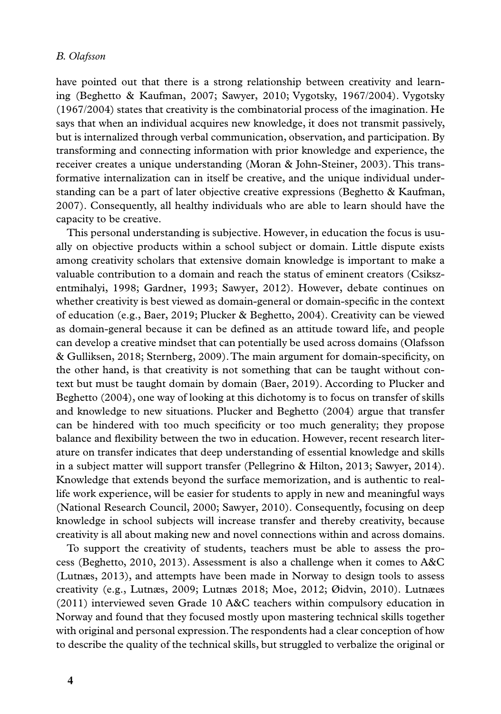have pointed out that there is a strong relationship between creativity and learning (Beghetto & Kaufman, 2007; Sawyer, 2010; Vygotsky, 1967/2004). Vygotsky (1967/2004) states that creativity is the combinatorial process of the imagination. He says that when an individual acquires new knowledge, it does not transmit passively, but is internalized through verbal communication, observation, and participation. By transforming and connecting information with prior knowledge and experience, the receiver creates a unique understanding (Moran & John-Steiner, 2003). This transformative internalization can in itself be creative, and the unique individual understanding can be a part of later objective creative expressions (Beghetto & Kaufman, 2007). Consequently, all healthy individuals who are able to learn should have the capacity to be creative.

This personal understanding is subjective. However, in education the focus is usually on objective products within a school subject or domain. Little dispute exists among creativity scholars that extensive domain knowledge is important to make a valuable contribution to a domain and reach the status of eminent creators (Csikszentmihalyi, 1998; Gardner, 1993; Sawyer, 2012). However, debate continues on whether creativity is best viewed as domain-general or domain-specific in the context of education (e.g., Baer, 2019; Plucker & Beghetto, 2004). Creativity can be viewed as domain-general because it can be defined as an attitude toward life, and people can develop a creative mindset that can potentially be used across domains (Olafsson & Gulliksen, 2018; Sternberg, 2009). The main argument for domain-specificity, on the other hand, is that creativity is not something that can be taught without context but must be taught domain by domain (Baer, 2019). According to Plucker and Beghetto (2004), one way of looking at this dichotomy is to focus on transfer of skills and knowledge to new situations. Plucker and Beghetto (2004) argue that transfer can be hindered with too much specificity or too much generality; they propose balance and flexibility between the two in education. However, recent research literature on transfer indicates that deep understanding of essential knowledge and skills in a subject matter will support transfer (Pellegrino & Hilton, 2013; Sawyer, 2014). Knowledge that extends beyond the surface memorization, and is authentic to reallife work experience, will be easier for students to apply in new and meaningful ways (National Research Council, 2000; Sawyer, 2010). Consequently, focusing on deep knowledge in school subjects will increase transfer and thereby creativity, because creativity is all about making new and novel connections within and across domains.

To support the creativity of students, teachers must be able to assess the process (Beghetto, 2010, 2013). Assessment is also a challenge when it comes to A&C (Lutnæs, 2013), and attempts have been made in Norway to design tools to assess creativity (e.g., Lutnæs, 2009; Lutnæs 2018; Moe, 2012; Øidvin, 2010). Lutnæes (2011) interviewed seven Grade 10 A&C teachers within compulsory education in Norway and found that they focused mostly upon mastering technical skills together with original and personal expression. The respondents had a clear conception of how to describe the quality of the technical skills, but struggled to verbalize the original or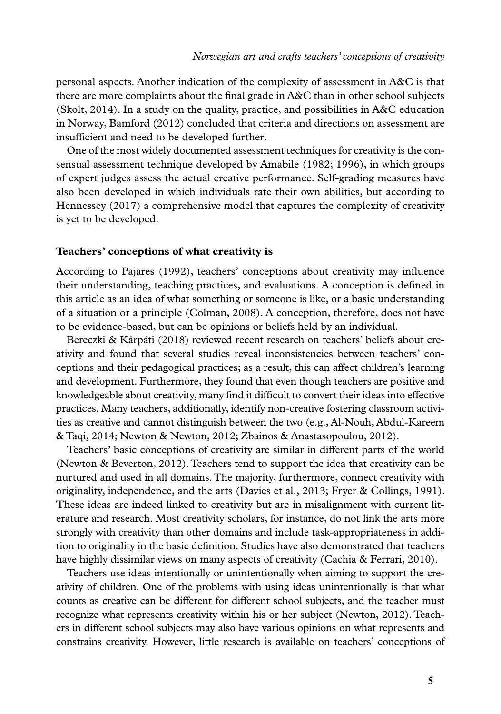personal aspects. Another indication of the complexity of assessment in A&C is that there are more complaints about the final grade in A&C than in other school subjects (Skolt, 2014). In a study on the quality, practice, and possibilities in A&C education in Norway, Bamford (2012) concluded that criteria and directions on assessment are insufficient and need to be developed further.

One of the most widely documented assessment techniques for creativity is the consensual assessment technique developed by Amabile (1982; 1996), in which groups of expert judges assess the actual creative performance. Self-grading measures have also been developed in which individuals rate their own abilities, but according to Hennessey (2017) a comprehensive model that captures the complexity of creativity is yet to be developed.

#### **Teachers' conceptions of what creativity is**

According to Pajares (1992), teachers' conceptions about creativity may influence their understanding, teaching practices, and evaluations. A conception is defined in this article as an idea of what something or someone is like, or a basic understanding of a situation or a principle (Colman, 2008). A conception, therefore, does not have to be evidence-based, but can be opinions or beliefs held by an individual.

Bereczki & Kárpáti (2018) reviewed recent research on teachers' beliefs about creativity and found that several studies reveal inconsistencies between teachers' conceptions and their pedagogical practices; as a result, this can affect children's learning and development. Furthermore, they found that even though teachers are positive and knowledgeable about creativity, many find it difficult to convert their ideas into effective practices. Many teachers, additionally, identify non-creative fostering classroom activities as creative and cannot distinguish between the two (e.g., Al-Nouh, Abdul-Kareem & Taqi, 2014; Newton & Newton, 2012; Zbainos & Anastasopoulou, 2012).

Teachers' basic conceptions of creativity are similar in different parts of the world (Newton & Beverton, 2012). Teachers tend to support the idea that creativity can be nurtured and used in all domains. The majority, furthermore, connect creativity with originality, independence, and the arts (Davies et al., 2013; Fryer & Collings, 1991). These ideas are indeed linked to creativity but are in misalignment with current literature and research. Most creativity scholars, for instance, do not link the arts more strongly with creativity than other domains and include task-appropriateness in addition to originality in the basic definition. Studies have also demonstrated that teachers have highly dissimilar views on many aspects of creativity (Cachia & Ferrari, 2010).

Teachers use ideas intentionally or unintentionally when aiming to support the creativity of children. One of the problems with using ideas unintentionally is that what counts as creative can be different for different school subjects, and the teacher must recognize what represents creativity within his or her subject (Newton, 2012). Teachers in different school subjects may also have various opinions on what represents and constrains creativity. However, little research is available on teachers' conceptions of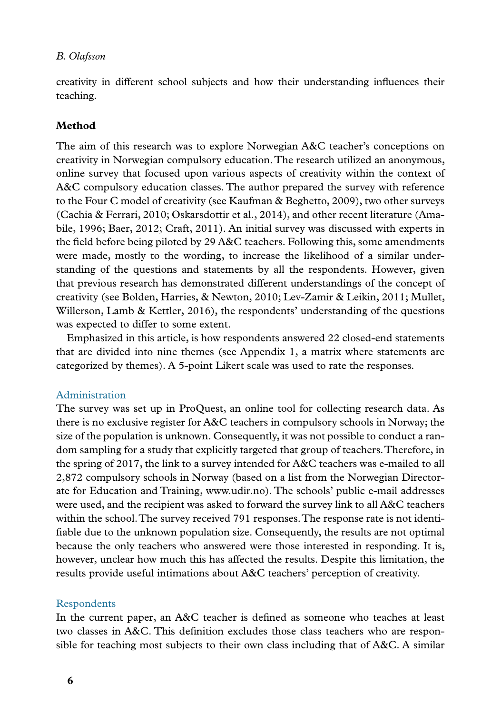creativity in different school subjects and how their understanding influences their teaching.

# **Method**

The aim of this research was to explore Norwegian A&C teacher's conceptions on creativity in Norwegian compulsory education. The research utilized an anonymous, online survey that focused upon various aspects of creativity within the context of A&C compulsory education classes. The author prepared the survey with reference to the Four C model of creativity (see Kaufman & Beghetto, 2009), two other surveys (Cachia & Ferrari, 2010; Oskarsdottir et al., 2014), and other recent literature (Amabile, 1996; Baer, 2012; Craft, 2011). An initial survey was discussed with experts in the field before being piloted by 29 A&C teachers. Following this, some amendments were made, mostly to the wording, to increase the likelihood of a similar understanding of the questions and statements by all the respondents. However, given that previous research has demonstrated different understandings of the concept of creativity (see Bolden, Harries, & Newton, 2010; Lev-Zamir & Leikin, 2011; Mullet, Willerson, Lamb & Kettler, 2016), the respondents' understanding of the questions was expected to differ to some extent.

Emphasized in this article, is how respondents answered 22 closed-end statements that are divided into nine themes (see Appendix 1, a matrix where statements are categorized by themes). A 5-point Likert scale was used to rate the responses.

#### Administration

The survey was set up in ProQuest, an online tool for collecting research data. As there is no exclusive register for A&C teachers in compulsory schools in Norway; the size of the population is unknown. Consequently, it was not possible to conduct a random sampling for a study that explicitly targeted that group of teachers. Therefore, in the spring of 2017, the link to a survey intended for A&C teachers was e-mailed to all 2,872 compulsory schools in Norway (based on a list from the Norwegian Directorate for Education and Training, www.udir.no). The schools' public e-mail addresses were used, and the recipient was asked to forward the survey link to all A&C teachers within the school. The survey received 791 responses. The response rate is not identifiable due to the unknown population size. Consequently, the results are not optimal because the only teachers who answered were those interested in responding. It is, however, unclear how much this has affected the results. Despite this limitation, the results provide useful intimations about A&C teachers' perception of creativity.

## Respondents

In the current paper, an A&C teacher is defined as someone who teaches at least two classes in A&C. This definition excludes those class teachers who are responsible for teaching most subjects to their own class including that of A&C. A similar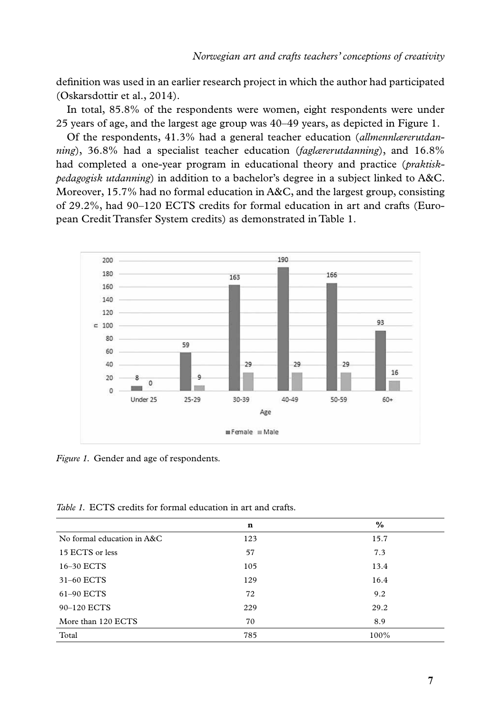definition was used in an earlier research project in which the author had participated (Oskarsdottir et al., 2014).

In total, 85.8% of the respondents were women, eight respondents were under 25 years of age, and the largest age group was 40–49 years, as depicted in Figure 1.

Of the respondents, 41.3% had a general teacher education (*allmennlærerutdanning*), 36.8% had a specialist teacher education (*faglærerutdanning*), and 16.8% had completed a one-year program in educational theory and practice (*praktiskpedagogisk utdanning*) in addition to a bachelor's degree in a subject linked to A&C. Moreover, 15.7% had no formal education in A&C, and the largest group, consisting of 29.2%, had 90–120 ECTS credits for formal education in art and crafts (European Credit Transfer System credits) as demonstrated in Table 1.



*Figure 1.* Gender and age of respondents.

*Table 1.* ECTS credits for formal education in art and crafts.

|                            | n   | $\%$ |
|----------------------------|-----|------|
| No formal education in A&C | 123 | 15.7 |
| 15 ECTS or less            | 57  | 7.3  |
| 16-30 ECTS                 | 105 | 13.4 |
| 31-60 ECTS                 | 129 | 16.4 |
| 61-90 ECTS                 | 72  | 9.2  |
| 90-120 ECTS                | 229 | 29.2 |
| More than 120 ECTS         | 70  | 8.9  |
| Total                      | 785 | 100% |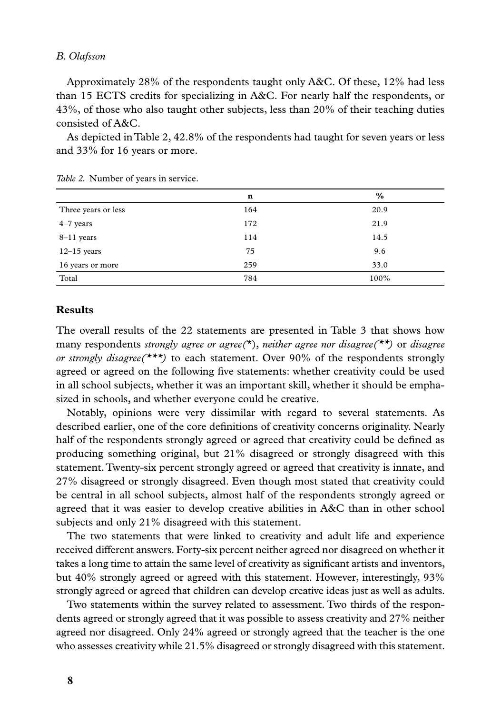Approximately 28% of the respondents taught only A&C. Of these, 12% had less than 15 ECTS credits for specializing in A&C. For nearly half the respondents, or 43%, of those who also taught other subjects, less than 20% of their teaching duties consisted of A&C.

As depicted in Table 2, 42.8% of the respondents had taught for seven years or less and 33% for 16 years or more.

|                     | n   | $\frac{9}{6}$ |
|---------------------|-----|---------------|
| Three years or less | 164 | 20.9          |
| $4-7$ years         | 172 | 21.9          |
| $8-11$ years        | 114 | 14.5          |
| $12-15$ years       | 75  | 9.6           |
| 16 years or more    | 259 | 33.0          |
| Total               | 784 | 100%          |

|  |  |  | Table 2. Number of years in service. |
|--|--|--|--------------------------------------|
|  |  |  |                                      |

## **Results**

The overall results of the 22 statements are presented in Table 3 that shows how many respondents *strongly agree or agree(*\*), *neither agree nor disagree(\*\*)* or *disagree or strongly disagree(\*\*\*)* to each statement. Over 90% of the respondents strongly agreed or agreed on the following five statements: whether creativity could be used in all school subjects, whether it was an important skill, whether it should be emphasized in schools, and whether everyone could be creative.

Notably, opinions were very dissimilar with regard to several statements. As described earlier, one of the core definitions of creativity concerns originality. Nearly half of the respondents strongly agreed or agreed that creativity could be defined as producing something original, but 21% disagreed or strongly disagreed with this statement. Twenty-six percent strongly agreed or agreed that creativity is innate, and 27% disagreed or strongly disagreed. Even though most stated that creativity could be central in all school subjects, almost half of the respondents strongly agreed or agreed that it was easier to develop creative abilities in A&C than in other school subjects and only 21% disagreed with this statement.

The two statements that were linked to creativity and adult life and experience received different answers. Forty-six percent neither agreed nor disagreed on whether it takes a long time to attain the same level of creativity as significant artists and inventors, but 40% strongly agreed or agreed with this statement. However, interestingly, 93% strongly agreed or agreed that children can develop creative ideas just as well as adults.

Two statements within the survey related to assessment. Two thirds of the respondents agreed or strongly agreed that it was possible to assess creativity and 27% neither agreed nor disagreed. Only 24% agreed or strongly agreed that the teacher is the one who assesses creativity while 21.5% disagreed or strongly disagreed with this statement.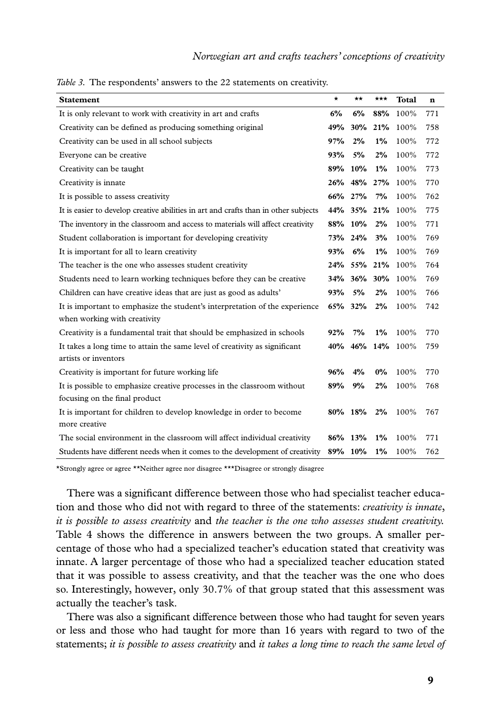| <b>Statement</b>                                                                    | *       | **          | ***   | <b>Total</b>     | $\mathbf n$ |
|-------------------------------------------------------------------------------------|---------|-------------|-------|------------------|-------------|
| It is only relevant to work with creativity in art and crafts                       | 6%      | 6%          | 88%   | 100%             | 771         |
| Creativity can be defined as producing something original                           | 49%     |             |       | 30% 21% 100%     | 758         |
| Creativity can be used in all school subjects                                       | 97%     | 2%          | $1\%$ | 100%             | 772         |
| Everyone can be creative                                                            | 93%     | 5%          | $2\%$ | 100%             | 772         |
| Creativity can be taught                                                            |         | 89% 10%     | $1\%$ | 100%             | 773         |
| Creativity is innate                                                                |         | 26% 48% 27% |       | 100%             | 770         |
| It is possible to assess creativity                                                 |         | 66% 27%     | 7%    | 100%             | 762         |
| It is easier to develop creative abilities in art and crafts than in other subjects |         | 44% 35% 21% |       | 100%             | 775         |
| The inventory in the classroom and access to materials will affect creativity       |         | 88% 10%     | 2%    | 100%             | 771         |
| Student collaboration is important for developing creativity                        |         | 73% 24%     | 3%    | 100%             | 769         |
| It is important for all to learn creativity                                         | 93%     | 6%          | $1\%$ | 100%             | 769         |
| The teacher is the one who assesses student creativity                              |         |             |       | 24% 55% 21% 100% | 764         |
| Students need to learn working techniques before they can be creative               |         | 34% 36% 30% |       | 100%             | 769         |
| Children can have creative ideas that are just as good as adults'                   | 93%     | 5%          | 2%    | 100%             | 766         |
| It is important to emphasize the student's interpretation of the experience         |         | 65% 32%     | 2%    | 100%             | 742         |
| when working with creativity                                                        |         |             |       |                  |             |
| Creativity is a fundamental trait that should be emphasized in schools              | 92%     | 7%          | $1\%$ | 100%             | 770         |
| It takes a long time to attain the same level of creativity as significant          |         | 40% 46% 14% |       | 100%             | 759         |
| artists or inventors                                                                |         |             |       |                  |             |
| Creativity is important for future working life                                     | 96%     | 4%          | $0\%$ | 100%             | 770         |
| It is possible to emphasize creative processes in the classroom without             | 89%     | 9%          | 2%    | 100%             | 768         |
| focusing on the final product                                                       |         |             |       |                  |             |
| It is important for children to develop knowledge in order to become                |         | 80% 18%     | 2%    | 100%             | 767         |
| more creative                                                                       |         |             |       |                  |             |
| The social environment in the classroom will affect individual creativity           | 86% 13% |             | $1\%$ | 100%             | 771         |
| Students have different needs when it comes to the development of creativity        | 89% 10% |             | $1\%$ | 100%             | 762         |

*Table 3.* The respondents' answers to the 22 statements on creativity.

\*Strongly agree or agree \*\*Neither agree nor disagree \*\*\*Disagree or strongly disagree

There was a significant difference between those who had specialist teacher education and those who did not with regard to three of the statements: *creativity is innate*, *it is possible to assess creativity* and *the teacher is the one who assesses student creativity.* Table 4 shows the difference in answers between the two groups. A smaller percentage of those who had a specialized teacher's education stated that creativity was innate. A larger percentage of those who had a specialized teacher education stated that it was possible to assess creativity, and that the teacher was the one who does so. Interestingly, however, only 30.7% of that group stated that this assessment was actually the teacher's task.

There was also a significant difference between those who had taught for seven years or less and those who had taught for more than 16 years with regard to two of the statements; *it is possible to assess creativity* and *it takes a long time to reach the same level of*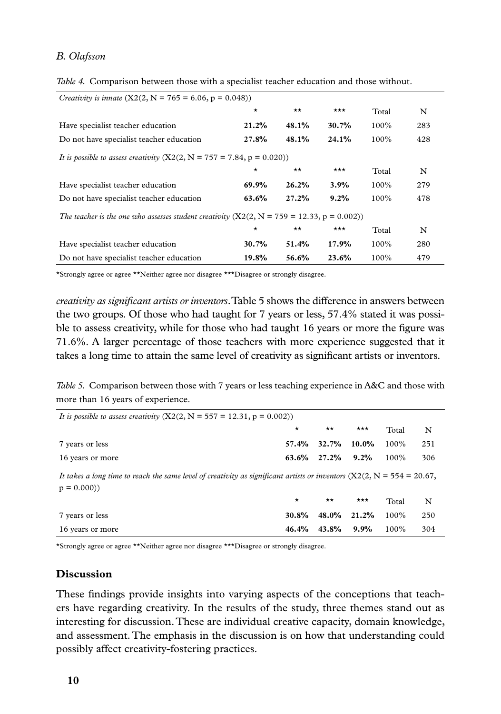| <i>Creativity is innate</i> $(X2(2, N = 765 = 6.06, p = 0.048))$                             |          |              |       |         |     |  |  |  |
|----------------------------------------------------------------------------------------------|----------|--------------|-------|---------|-----|--|--|--|
|                                                                                              | $\star$  | $\star\star$ | $***$ | Total   | N   |  |  |  |
| Have specialist teacher education                                                            | 21.2%    | 48.1%        | 30.7% | $100\%$ | 283 |  |  |  |
| Do not have specialist teacher education                                                     | 27.8%    | 48.1%        | 24.1% | $100\%$ | 428 |  |  |  |
| It is possible to assess creativity $(X2(2, N = 757 = 7.84, p = 0.020))$                     |          |              |       |         |     |  |  |  |
|                                                                                              | $\star$  | $\star\star$ | $***$ | Total   | N   |  |  |  |
| Have specialist teacher education                                                            | 69.9%    | 26.2%        | 3.9%  | $100\%$ | 279 |  |  |  |
| Do not have specialist teacher education                                                     | 63.6%    | 27.2%        | 9.2%  | $100\%$ | 478 |  |  |  |
| The teacher is the one who assesses student creativity $(X2(2, N = 759 = 12.33, p = 0.002))$ |          |              |       |         |     |  |  |  |
|                                                                                              | $\star$  | $\star\star$ | $***$ | Total   | N   |  |  |  |
| Have specialist teacher education                                                            | $30.7\%$ | 51.4%        | 17.9% | $100\%$ | 280 |  |  |  |
| Do not have specialist teacher education                                                     | 19.8%    | 56.6%        | 23.6% | 100%    | 479 |  |  |  |

*Table 4.* Comparison between those with a specialist teacher education and those without.

\*Strongly agree or agree \*\*Neither agree nor disagree \*\*\*Disagree or strongly disagree.

*creativity as significant artists or inventors*. Table 5 shows the difference in answers between the two groups. Of those who had taught for 7 years or less, 57.4% stated it was possible to assess creativity, while for those who had taught 16 years or more the figure was 71.6%. A larger percentage of those teachers with more experience suggested that it takes a long time to attain the same level of creativity as significant artists or inventors.

*Table 5.* Comparison between those with 7 years or less teaching experience in A&C and those with more than 16 years of experience.

| It is possible to assess creativity $(X2(2, N = 557 = 12.31, p = 0.002))$                                                                |         |              |                   |       |     |  |  |  |  |
|------------------------------------------------------------------------------------------------------------------------------------------|---------|--------------|-------------------|-------|-----|--|--|--|--|
|                                                                                                                                          | $\star$ | $\star\star$ | $***$             | Total | N   |  |  |  |  |
| 7 years or less                                                                                                                          | 57.4%   | 32.7%        | $10.0\%$          | 100%  | 251 |  |  |  |  |
| 16 years or more                                                                                                                         | 63.6%   | 27.2%        | 9.2%              | 100%  | 306 |  |  |  |  |
| It takes a long time to reach the same level of creativity as significant artists or inventors $(X2(2, N = 554 = 20.67,$<br>$p = 0.000)$ |         |              |                   |       |     |  |  |  |  |
|                                                                                                                                          | $\star$ | $\star\star$ | $\star\star\star$ | Total | N   |  |  |  |  |
| 7 years or less                                                                                                                          | 30.8%   | 48.0%        | 21.2%             | 100%  | 250 |  |  |  |  |
| 16 years or more                                                                                                                         | 46.4%   | 43.8%        | 9.9%              | 100%  | 304 |  |  |  |  |

\*Strongly agree or agree \*\*Neither agree nor disagree \*\*\*Disagree or strongly disagree.

# **Discussion**

These findings provide insights into varying aspects of the conceptions that teachers have regarding creativity. In the results of the study, three themes stand out as interesting for discussion. These are individual creative capacity, domain knowledge, and assessment. The emphasis in the discussion is on how that understanding could possibly affect creativity-fostering practices.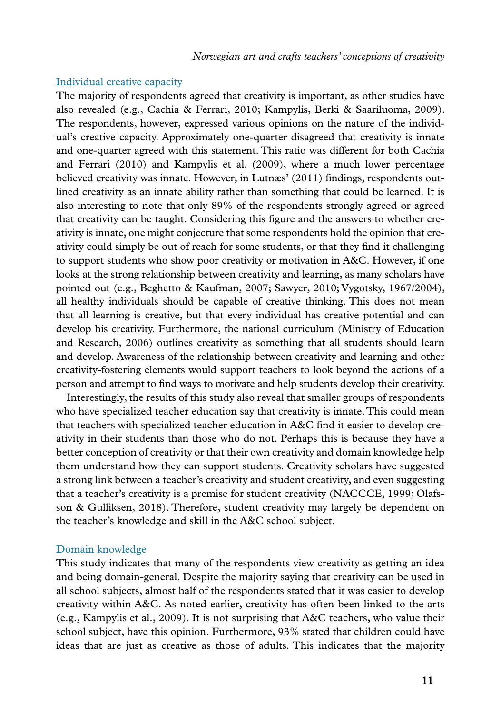# Individual creative capacity

The majority of respondents agreed that creativity is important, as other studies have also revealed (e.g., Cachia & Ferrari, 2010; Kampylis, Berki & Saariluoma, 2009). The respondents, however, expressed various opinions on the nature of the individual's creative capacity. Approximately one-quarter disagreed that creativity is innate and one-quarter agreed with this statement. This ratio was different for both Cachia and Ferrari (2010) and Kampylis et al. (2009), where a much lower percentage believed creativity was innate. However, in Lutnæs' (2011) findings, respondents outlined creativity as an innate ability rather than something that could be learned. It is also interesting to note that only 89% of the respondents strongly agreed or agreed that creativity can be taught. Considering this figure and the answers to whether creativity is innate, one might conjecture that some respondents hold the opinion that creativity could simply be out of reach for some students, or that they find it challenging to support students who show poor creativity or motivation in A&C. However, if one looks at the strong relationship between creativity and learning, as many scholars have pointed out (e.g., Beghetto & Kaufman, 2007; Sawyer, 2010; Vygotsky, 1967/2004), all healthy individuals should be capable of creative thinking. This does not mean that all learning is creative, but that every individual has creative potential and can develop his creativity. Furthermore, the national curriculum (Ministry of Education and Research, 2006) outlines creativity as something that all students should learn and develop. Awareness of the relationship between creativity and learning and other creativity-fostering elements would support teachers to look beyond the actions of a person and attempt to find ways to motivate and help students develop their creativity.

Interestingly, the results of this study also reveal that smaller groups of respondents who have specialized teacher education say that creativity is innate. This could mean that teachers with specialized teacher education in A&C find it easier to develop creativity in their students than those who do not. Perhaps this is because they have a better conception of creativity or that their own creativity and domain knowledge help them understand how they can support students. Creativity scholars have suggested a strong link between a teacher's creativity and student creativity, and even suggesting that a teacher's creativity is a premise for student creativity (NACCCE, 1999; Olafsson & Gulliksen, 2018). Therefore, student creativity may largely be dependent on the teacher's knowledge and skill in the A&C school subject.

## Domain knowledge

This study indicates that many of the respondents view creativity as getting an idea and being domain-general. Despite the majority saying that creativity can be used in all school subjects, almost half of the respondents stated that it was easier to develop creativity within A&C. As noted earlier, creativity has often been linked to the arts (e.g., Kampylis et al., 2009). It is not surprising that A&C teachers, who value their school subject, have this opinion. Furthermore, 93% stated that children could have ideas that are just as creative as those of adults. This indicates that the majority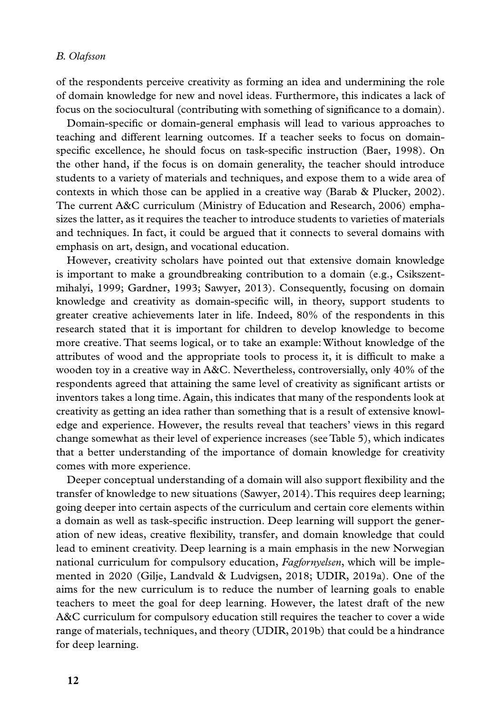of the respondents perceive creativity as forming an idea and undermining the role of domain knowledge for new and novel ideas. Furthermore, this indicates a lack of focus on the sociocultural (contributing with something of significance to a domain).

Domain-specific or domain-general emphasis will lead to various approaches to teaching and different learning outcomes. If a teacher seeks to focus on domainspecific excellence, he should focus on task-specific instruction (Baer, 1998). On the other hand, if the focus is on domain generality, the teacher should introduce students to a variety of materials and techniques, and expose them to a wide area of contexts in which those can be applied in a creative way (Barab & Plucker, 2002). The current A&C curriculum (Ministry of Education and Research, 2006) emphasizes the latter, as it requires the teacher to introduce students to varieties of materials and techniques. In fact, it could be argued that it connects to several domains with emphasis on art, design, and vocational education.

However, creativity scholars have pointed out that extensive domain knowledge is important to make a groundbreaking contribution to a domain (e.g., Csikszentmihalyi, 1999; Gardner, 1993; Sawyer, 2013). Consequently, focusing on domain knowledge and creativity as domain-specific will, in theory, support students to greater creative achievements later in life. Indeed, 80% of the respondents in this research stated that it is important for children to develop knowledge to become more creative. That seems logical, or to take an example: Without knowledge of the attributes of wood and the appropriate tools to process it, it is difficult to make a wooden toy in a creative way in A&C. Nevertheless, controversially, only 40% of the respondents agreed that attaining the same level of creativity as significant artists or inventors takes a long time. Again, this indicates that many of the respondents look at creativity as getting an idea rather than something that is a result of extensive knowledge and experience. However, the results reveal that teachers' views in this regard change somewhat as their level of experience increases (see Table 5), which indicates that a better understanding of the importance of domain knowledge for creativity comes with more experience.

Deeper conceptual understanding of a domain will also support flexibility and the transfer of knowledge to new situations (Sawyer, 2014). This requires deep learning; going deeper into certain aspects of the curriculum and certain core elements within a domain as well as task-specific instruction. Deep learning will support the generation of new ideas, creative flexibility, transfer, and domain knowledge that could lead to eminent creativity. Deep learning is a main emphasis in the new Norwegian national curriculum for compulsory education, *Fagfornyelsen*, which will be implemented in 2020 (Gilje, Landvald & Ludvigsen, 2018; UDIR, 2019a). One of the aims for the new curriculum is to reduce the number of learning goals to enable teachers to meet the goal for deep learning. However, the latest draft of the new A&C curriculum for compulsory education still requires the teacher to cover a wide range of materials, techniques, and theory (UDIR, 2019b) that could be a hindrance for deep learning.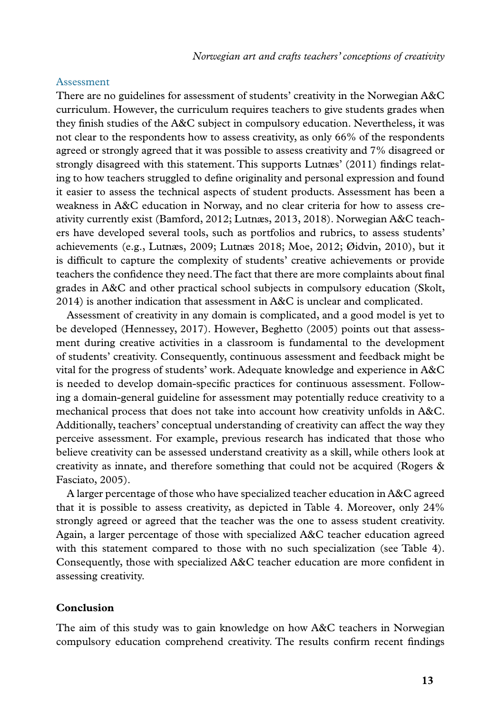#### Assessment

There are no guidelines for assessment of students' creativity in the Norwegian A&C curriculum. However, the curriculum requires teachers to give students grades when they finish studies of the A&C subject in compulsory education. Nevertheless, it was not clear to the respondents how to assess creativity, as only 66% of the respondents agreed or strongly agreed that it was possible to assess creativity and 7% disagreed or strongly disagreed with this statement. This supports Lutnæs' (2011) findings relating to how teachers struggled to define originality and personal expression and found it easier to assess the technical aspects of student products. Assessment has been a weakness in A&C education in Norway, and no clear criteria for how to assess creativity currently exist (Bamford, 2012; Lutnæs, 2013, 2018). Norwegian A&C teachers have developed several tools, such as portfolios and rubrics, to assess students' achievements (e.g., Lutnæs, 2009; Lutnæs 2018; Moe, 2012; Øidvin, 2010), but it is difficult to capture the complexity of students' creative achievements or provide teachers the confidence they need. The fact that there are more complaints about final grades in A&C and other practical school subjects in compulsory education (Skolt, 2014) is another indication that assessment in A&C is unclear and complicated.

Assessment of creativity in any domain is complicated, and a good model is yet to be developed (Hennessey, 2017). However, Beghetto (2005) points out that assessment during creative activities in a classroom is fundamental to the development of students' creativity. Consequently, continuous assessment and feedback might be vital for the progress of students' work. Adequate knowledge and experience in A&C is needed to develop domain-specific practices for continuous assessment. Following a domain-general guideline for assessment may potentially reduce creativity to a mechanical process that does not take into account how creativity unfolds in A&C. Additionally, teachers' conceptual understanding of creativity can affect the way they perceive assessment. For example, previous research has indicated that those who believe creativity can be assessed understand creativity as a skill, while others look at creativity as innate, and therefore something that could not be acquired (Rogers & Fasciato, 2005).

A larger percentage of those who have specialized teacher education in A&C agreed that it is possible to assess creativity, as depicted in Table 4. Moreover, only 24% strongly agreed or agreed that the teacher was the one to assess student creativity. Again, a larger percentage of those with specialized A&C teacher education agreed with this statement compared to those with no such specialization (see Table 4). Consequently, those with specialized A&C teacher education are more confident in assessing creativity.

# **Conclusion**

The aim of this study was to gain knowledge on how A&C teachers in Norwegian compulsory education comprehend creativity. The results confirm recent findings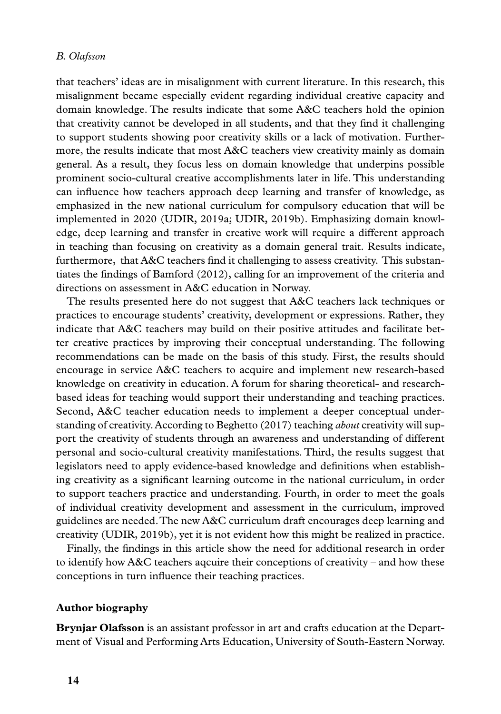that teachers' ideas are in misalignment with current literature. In this research, this misalignment became especially evident regarding individual creative capacity and domain knowledge. The results indicate that some A&C teachers hold the opinion that creativity cannot be developed in all students, and that they find it challenging to support students showing poor creativity skills or a lack of motivation. Furthermore, the results indicate that most A&C teachers view creativity mainly as domain general. As a result, they focus less on domain knowledge that underpins possible prominent socio-cultural creative accomplishments later in life. This understanding can influence how teachers approach deep learning and transfer of knowledge, as emphasized in the new national curriculum for compulsory education that will be implemented in 2020 (UDIR, 2019a; UDIR, 2019b). Emphasizing domain knowledge, deep learning and transfer in creative work will require a different approach in teaching than focusing on creativity as a domain general trait. Results indicate, furthermore, that A&C teachers find it challenging to assess creativity. This substantiates the findings of Bamford (2012), calling for an improvement of the criteria and directions on assessment in A&C education in Norway.

The results presented here do not suggest that A&C teachers lack techniques or practices to encourage students' creativity, development or expressions. Rather, they indicate that A&C teachers may build on their positive attitudes and facilitate better creative practices by improving their conceptual understanding. The following recommendations can be made on the basis of this study. First, the results should encourage in service A&C teachers to acquire and implement new research-based knowledge on creativity in education. A forum for sharing theoretical- and researchbased ideas for teaching would support their understanding and teaching practices. Second, A&C teacher education needs to implement a deeper conceptual understanding of creativity. According to Beghetto (2017) teaching *about* creativity will support the creativity of students through an awareness and understanding of different personal and socio-cultural creativity manifestations. Third, the results suggest that legislators need to apply evidence-based knowledge and definitions when establishing creativity as a significant learning outcome in the national curriculum, in order to support teachers practice and understanding. Fourth, in order to meet the goals of individual creativity development and assessment in the curriculum, improved guidelines are needed. The new A&C curriculum draft encourages deep learning and creativity (UDIR, 2019b), yet it is not evident how this might be realized in practice.

Finally, the findings in this article show the need for additional research in order to identify how A&C teachers aqcuire their conceptions of creativity – and how these conceptions in turn influence their teaching practices.

# **Author biography**

**Brynjar Olafsson** is an assistant professor in art and crafts education at the Department of Visual and Performing Arts Education, University of South-Eastern Norway.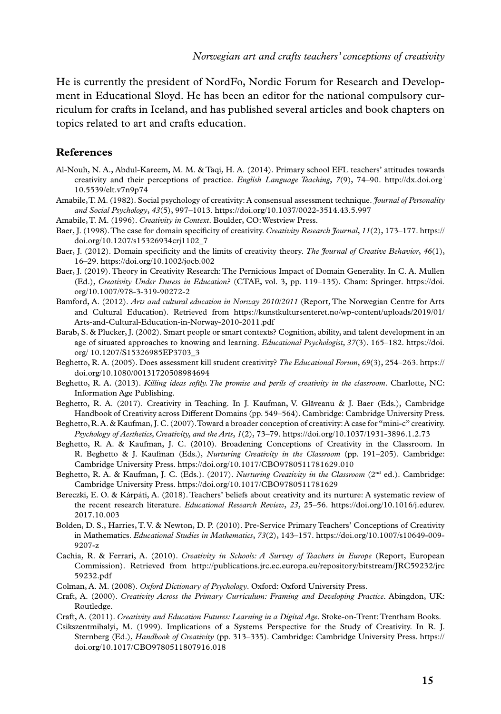He is currently the president of NordFo, Nordic Forum for Research and Development in Educational Sloyd. He has been an editor for the national compulsory curriculum for crafts in Iceland, and has published several articles and book chapters on topics related to art and crafts education.

#### **References**

- Al-Nouh, N. A., Abdul-Kareem, M. M. & Taqi, H. A. (2014). Primary school EFL teachers' attitudes towards creativity and their perceptions of practice. *English Language Teaching*, *7*(9), 74–90. [http://dx.doi.org/](http://dx.doi.org/10.5539/elt.v7n9p74) [10.5539/elt.v7n9p74](http://dx.doi.org/10.5539/elt.v7n9p74)
- Amabile, T. M. (1982). Social psychology of creativity: A consensual assessment technique. *Journal of Personality and Social Psychology*, *43*(5), 997–1013. https://doi.org/10.1037/0022-3514.43.5.997
- Amabile, T. M. (1996). *Creativity in Context*. Boulder, CO: Westview Press.
- Baer, J. (1998). The case for domain specificity of creativity. *Creativity Research Journal*, *11*(2), 173–177. https:// doi.org/10.1207/s15326934crj1102\_7
- Baer, J. (2012). Domain specificity and the limits of creativity theory. *The Journal of Creative Behavior*, *46*(1), 16–29. https://doi.org/10.1002/jocb.002
- Baer, J. (2019). Theory in Creativity Research: The Pernicious Impact of Domain Generality. In C. A. Mullen (Ed.), *Creativity Under Duress in Education?* (CTAE, vol. 3, pp. 119–135). Cham: Springer. [https://doi.](https://doi.org/10.1007/978-3-319-90272-2) [org/10.1007/978-3-319-90272-2](https://doi.org/10.1007/978-3-319-90272-2)
- Bamford, A. (2012). *Arts and cultural education in Norway 2010/2011* (Report, The Norwegian Centre for Arts and Cultural Education). Retrieved from [https://kunstkultursenteret.no/wp-content/uploads/2019/01/](https://kunstkultursenteret.no/wp-content/uploads/2019/01/Arts-and-Cultural-Education-in-Norway-2010-2011.pdf) [Arts-and-Cultural-Education-in-Norway-2010-2011.pdf](https://kunstkultursenteret.no/wp-content/uploads/2019/01/Arts-and-Cultural-Education-in-Norway-2010-2011.pdf)
- Barab, S. & Plucker, J. (2002). Smart people or smart contexts? Cognition, ability, and talent development in an age of situated approaches to knowing and learning. *Educational Psychologist, 37*(3). 165–182. [https://doi.](https://doi.org/ 10.1207/S15326985EP3703_3) [org/ 10.1207/S15326985EP3703\\_3](https://doi.org/ 10.1207/S15326985EP3703_3)
- Beghetto, R. A. (2005). Does assessment kill student creativity? *The Educational Forum*, *69*(3), 254–263. https:// doi.org/10.1080/00131720508984694
- Beghetto, R. A. (2013). *Killing ideas softly. The promise and perils of creativity in the classroom*. Charlotte, NC: Information Age Publishing.
- Beghetto, R. A. (2017). Creativity in Teaching. In J. Kaufman, V. Glăveanu & J. Baer (Eds.), Cambridge Handbook of Creativity across Different Domains (pp. 549–564). Cambridge: Cambridge University Press.
- Beghetto, R. A. & Kaufman, J. C. (2007). Toward a broader conception of creativity: A case for "mini-c" creativity. *Psychology of Aesthetics, Creativity, and the Arts*, *1*(2), 73–79. https://doi.org/10.1037/1931-3896.1.2.73
- Beghetto, R. A. & Kaufman, J. C. (2010). Broadening Conceptions of Creativity in the Classroom. In R. Beghetto & J. Kaufman (Eds.), *Nurturing Creativity in the Classroom* (pp. 191–205). Cambridge: Cambridge University Press. https://doi.org/10.1017/CBO9780511781629.010
- Beghetto, R. A. & Kaufman, J. C. (Eds.). (2017). *Nurturing Creativity in the Classroom* (2nd ed.). Cambridge: Cambridge University Press. https://doi.org/10.1017/CBO9780511781629
- Bereczki, E. O. & Kárpáti, A. (2018). Teachers' beliefs about creativity and its nurture: A systematic review of the recent research literature. *Educational Research Review*, *23*, 25–56. [https://doi.org/10.1016/j.edurev.](https://doi.org/10.1016/j.edurev.2017.10.003) [2017.10.003](https://doi.org/10.1016/j.edurev.2017.10.003)
- Bolden, D. S., Harries, T. V. & Newton, D. P. (2010). Pre-Service Primary Teachers' Conceptions of Creativity in Mathematics. *Educational Studies in Mathematics*, *73*(2), 143–157. https://doi.org/10.1007/s10649-009- 9207-z
- Cachia, R. & Ferrari, A. (2010). *Creativity in Schools: A Survey of Teachers in Europe* (Report, European Commission). Retrieved from [http://publications.jrc.ec.europa.eu/repository/bitstream/JRC59232/jrc](http://publications.jrc.ec.europa.eu/repository/bitstream/JRC59232/jrc59232.pdf) [59232.pdf](http://publications.jrc.ec.europa.eu/repository/bitstream/JRC59232/jrc59232.pdf)
- Colman, A. M. (2008). *Oxford Dictionary of Psychology*. Oxford: Oxford University Press.
- Craft, A. (2000). *Creativity Across the Primary Curriculum: Framing and Developing Practice*. Abingdon, UK: Routledge.
- Craft, A. (2011). *Creativity and Education Futures: Learning in a Digital Age*. Stoke-on-Trent: Trentham Books.
- Csikszentmihalyi, M. (1999). Implications of a Systems Perspective for the Study of Creativity. In R. J. Sternberg (Ed.), *Handbook of Creativity* (pp. 313–335). Cambridge: Cambridge University Press. https:// doi.org/10.1017/CBO9780511807916.018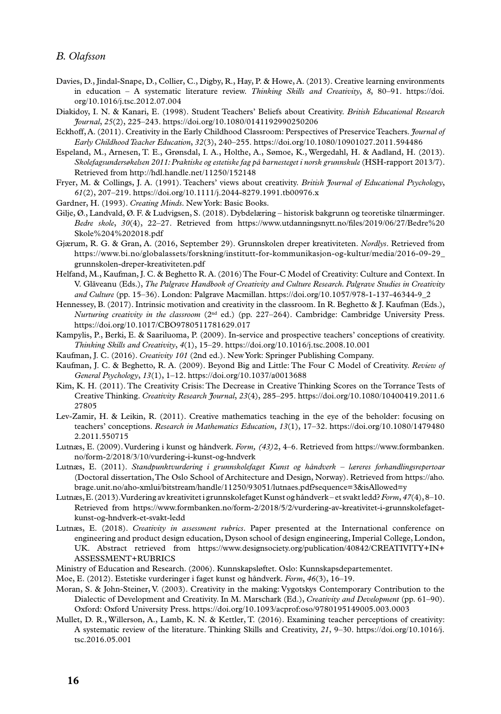- Davies, D., Jindal-Snape, D., Collier, C., Digby, R., Hay, P. & Howe, A. (2013). Creative learning environments in education – A systematic literature review. *Thinking Skills and Creativity*, *8*, 80–91. [https://doi.](https://doi.org/10.1016/j.tsc.2012.07.004) [org/10.1016/j.tsc.2012.07.004](https://doi.org/10.1016/j.tsc.2012.07.004)
- Diakidoy, I. N. & Kanari, E. (1998). Student Teachers' Beliefs about Creativity. *British Educational Research Journal*, *25*(2), 225–243. https://doi.org/10.1080/0141192990250206
- Eckhoff, A. (2011). Creativity in the Early Childhood Classroom: Perspectives of Preservice Teachers. *Journal of Early Childhood Teacher Education*, *32*(3), 240–255. https://doi.org/10.1080/10901027.2011.594486
- Espeland, M., Arnesen, T. E., Grønsdal, I. A., Holthe, A., Sømoe, K., Wergedahl, H. & Aadland, H. (2013). *Skolefagsundersøkelsen 2011: Praktiske og estetiske fag på barnesteget i norsk grunnskule* (HSH-rapport 2013/7). Retrieved from http://hdl.handle.net/11250/152148
- Fryer, M. & Collings, J. A. (1991). Teachers' views about creativity. *British Journal of Educational Psychology*, *61*(2), 207–219. https://doi.org/10.1111/j.2044-8279.1991.tb00976.x
- Gardner, H. (1993). *Creating Minds*. New York: Basic Books.
- Gilje, Ø., Landvald, Ø. F. & Ludvigsen, S. (2018). Dybdelæring historisk bakgrunn og teoretiske tilnærminger. *Bedre skole*, *30*(4), 22–27. Retrieved from [https://www.utdanningsnytt.no/files/2019/06/27/Bedre%20](https://www.utdanningsnytt.no/files/2019/06/27/Bedre%20Skole%204%202018.pdf) [Skole%204%202018.pdf](https://www.utdanningsnytt.no/files/2019/06/27/Bedre%20Skole%204%202018.pdf)
- Gjærum, R. G. & Gran, A. (2016, September 29). Grunnskolen dreper kreativiteten. *Nordlys*. Retrieved from [https://www.bi.no/globalassets/forskning/institutt-for-kommunikasjon-og-kultur/media/2016-09-29\\_](https://www.bi.no/globalassets/forskning/institutt-for-kommunikasjon-og-kultur/media/2016-09-29_grunnskolen-dreper-kreativiteten.pdf) [grunnskolen-dreper-kreativiteten.pdf](https://www.bi.no/globalassets/forskning/institutt-for-kommunikasjon-og-kultur/media/2016-09-29_grunnskolen-dreper-kreativiteten.pdf)
- Helfand, M., Kaufman, J. C. & Beghetto R. A. (2016) The Four-C Model of Creativity: Culture and Context. In V. Glăveanu (Eds.), *The Palgrave Handbook of Creativity and Culture Research. Palgrave Studies in Creativity and Culture* (pp. 15–36). London: Palgrave Macmillan. https://doi.org/10.1057/978-1-137-46344-9\_2
- Hennessey, B. (2017). Intrinsic motivation and creativity in the classroom. In R. Beghetto & J. Kaufman (Eds.), *Nurturing creativity in the classroom* (2nd ed.) (pp. 227–264). Cambridge: Cambridge University Press. https://doi.org/10.1017/CBO9780511781629.017
- Kampylis, P., Berki, E. & Saariluoma, P. (2009). In-service and prospective teachers' conceptions of creativity. *Thinking Skills and Creativity*, *4*(1), 15–29. https://doi.org/10.1016/j.tsc.2008.10.001
- Kaufman, J. C. (2016). *Creativity 101* (2nd ed.). New York: Springer Publishing Company.
- Kaufman, J. C. & Beghetto, R. A. (2009). Beyond Big and Little: The Four C Model of Creativity. *Review of General Psychology*, *13*(1), 1–12. https://doi.org/10.1037/a0013688
- Kim, K. H. (2011). The Creativity Crisis: The Decrease in Creative Thinking Scores on the Torrance Tests of Creative Thinking. *Creativity Research Journal*, *23*(4), 285–295. [https://doi.org/10.1080/10400419.2011.6](https://doi.org/10.1080/10400419.2011.627805) [27805](https://doi.org/10.1080/10400419.2011.627805)
- Lev-Zamir, H. & Leikin, R. (2011). Creative mathematics teaching in the eye of the beholder: focusing on teachers' conceptions. *Research in Mathematics Education*, *13*(1), 17–32. [https://doi.org/10.1080/1479480](https://doi.org/10.1080/14794802.2011.550715) [2.2011.550715](https://doi.org/10.1080/14794802.2011.550715)
- Lutnæs, E. (2009). Vurdering i kunst og håndverk. *Form, (43)*2, 4–6. Retrieved from [https://www.formbanken.](https://www.formbanken.no/form-2/2018/3/10/vurdering-i-kunst-og-hndverk) [no/form-2/2018/3/10/vurdering-i-kunst-og-hndverk](https://www.formbanken.no/form-2/2018/3/10/vurdering-i-kunst-og-hndverk)
- Lutnæs, E. (2011). *Standpunktvurdering i grunnskolefaget Kunst og håndverk læreres forhandlingsrepertoar* (Doctoral dissertation, The Oslo School of Architecture and Design, Norway). Retrieved from [https://aho.](https://aho.brage.unit.no/aho-xmlui/bitstream/handle/11250/93051/lutnaes.pdf?sequence=3&isAllowed=y) [brage.unit.no/aho-xmlui/bitstream/handle/11250/93051/lutnaes.pdf?sequence=3&isAllowed=y](https://aho.brage.unit.no/aho-xmlui/bitstream/handle/11250/93051/lutnaes.pdf?sequence=3&isAllowed=y)
- Lutnæs, E. (2013). Vurdering av kreativitet i grunnskolefaget Kunst og håndverk et svakt ledd? *Form*, *47*(4), 8–10. Retrieved from https://www.formbanken.no/form-2/2018/5/2/vurdering-av-kreativitet-i-grunnskolefagetkunst-og-hndverk-et-svakt-ledd
- Lutnæs, E. (2018). *Creativity in assessment rubrics*. Paper presented at the International conference on engineering and product design education, Dyson school of design engineering, Imperial College, London, UK. Abstract retrieved from [https://www.designsociety.org/publication/40842/CREATIVITY+IN+](https://www.designsociety.org/publication/40842/CREATIVITY+IN+ASSESSMENT+RUBRICS) [ASSESSMENT+RUBRICS](https://www.designsociety.org/publication/40842/CREATIVITY+IN+ASSESSMENT+RUBRICS)
- Ministry of Education and Research. (2006). Kunnskapsløftet. Oslo: Kunnskapsdepartementet.
- Moe, E. (2012). Estetiske vurderinger i faget kunst og håndverk. *Form*, *46*(3), 16–19.
- Moran, S. & John-Steiner, V. (2003). Creativity in the making: Vygotskys Contemporary Contribution to the Dialectic of Development and Creativity. In M. Marschark (Ed.), *Creativity and Development* (pp. 61–90). Oxford: Oxford University Press. https://doi.org/10.1093/acprof:oso/9780195149005.003.0003
- Mullet, D. R., Willerson, A., Lamb, K. N. & Kettler, T. (2016). Examining teacher perceptions of creativity: A systematic review of the literature. Thinking Skills and Creativity, *21*, 9–30. [https://doi.org/10.1016/j.](https://doi.org/10.1016/j.tsc.2016.05.001) [tsc.2016.05.001](https://doi.org/10.1016/j.tsc.2016.05.001)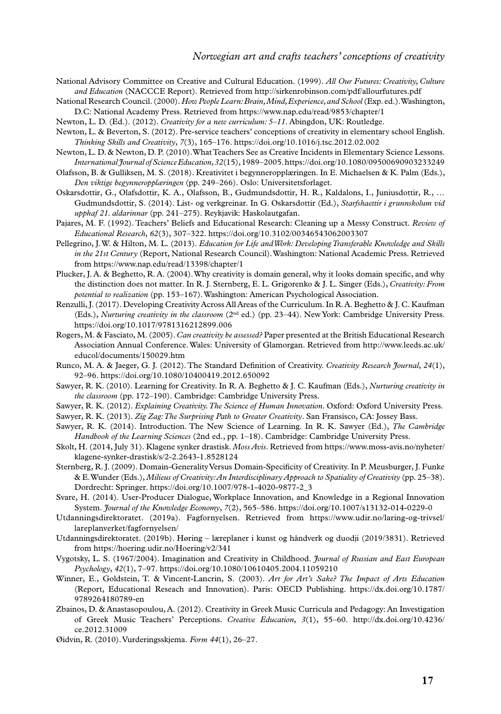- National Advisory Committee on Creative and Cultural Education. (1999). *All Our Futures: Creativity, Culture and Education* (NACCCE Report). Retrieved from http://sirkenrobinson.com/pdf/allourfutures.pdf
- National Research Council. (2000). *How People Learn: Brain, Mind, Experience, and School* (Exp. ed.). Washington, D.C: National Academy Press. Retrieved from https://www.nap.edu/read/9853/chapter/1
- Newton, L. D. (Ed.). (2012). *Creativity for a new curriculum: 5–11*. Abingdon, UK: Routledge.
- Newton, L. & Beverton, S. (2012). Pre-service teachers' conceptions of creativity in elementary school English. *Thinking Skills and Creativity*, *7*(3), 165–176. https://doi.org/10.1016/j.tsc.2012.02.002
- Newton, L. D. & Newton, D. P. (2010). What Teachers See as Creative Incidents in Elementary Science Lessons. *International Journal of Science Education*, *32*(15), 1989–2005. https://doi.org/10.1080/09500690903233249
- Olafsson, B. & Gulliksen, M. S. (2018). Kreativitet i begynneropplæringen. In E. Michaelsen & K. Palm (Eds.), *Den viktige begynneropplæringen* (pp. 249–266). Oslo: Universitetsforlaget.
- Oskarsdottir, G., Olafsdottir, K. A., Olafsson, B., Gudmundsdottir, H. R., Kaldalons, I., Juniusdottir, R., … Gudmundsdottir, S. (2014). List- og verkgreinar. In G. Oskarsdottir (Ed.), *Starfshaettir i grunnskolum vid upphaf 21. aldarinnar* (pp. 241–275). Reykjavik: Haskolautgafan.
- Pajares, M. F. (1992). Teachers' Beliefs and Educational Research: Cleaning up a Messy Construct. *Review of Educational Research*, *62*(3), 307–322. https://doi.org/10.3102/00346543062003307
- Pellegrino, J. W. & Hilton, M. L. (2013). *Education for Life and Work: Developing Transferable Knowledge and Skills in the 21st Century* (Report, National Research Council). Washington: National Academic Press. Retrieved from https://www.nap.edu/read/13398/chapter/1
- Plucker, J. A. & Beghetto, R. A. (2004). Why creativity is domain general, why it looks domain specific, and why the distinction does not matter. In R. J. Sternberg, E. L. Grigorenko & J. L. Singer (Eds.), *Creativity: From potential to realization* (pp. 153–167). Washington: American Psychological Association.
- Renzulli, J. (2017). Developing Creativity Across All Areas of the Curriculum. In R. A. Beghetto & J. C. Kaufman (Eds.), *Nurturing creativity in the classroom* (2nd ed.) (pp. 23–44). New York: Cambridge University Press. https://doi.org/10.1017/9781316212899.006
- Rogers, M. & Fasciato, M. (2005). *Can creativity be assessed?* Paper presented at the British Educational Research Association Annual Conference. Wales: University of Glamorgan. Retrieved from [http://www.leeds.ac.uk/](http://www.leeds.ac.uk/educol/documents/150029.htm) [educol/documents/150029.htm](http://www.leeds.ac.uk/educol/documents/150029.htm)
- Runco, M. A. & Jaeger, G. J. (2012). The Standard Definition of Creativity. *Creativity Research Journal*, *24*(1), 92–96. https://doi.org/10.1080/10400419.2012.650092
- Sawyer, R. K. (2010). Learning for Creativity. In R. A. Beghetto & J. C. Kaufman (Eds.), *Nurturing creativity in the classroom* (pp. 172–190). Cambridge: Cambridge University Press.
- Sawyer, R. K. (2012). *Explaining Creativity. The Science of Human Innovation*. Oxford: Oxford University Press.
- Sawyer, R. K. (2013). *Zig Zag: The Surprising Path to Greater Creativity*. San Fransisco, CA: Jossey Bass.
- Sawyer, R. K. (2014). Introduction. The New Science of Learning. In R. K. Sawyer (Ed.), *The Cambridge Handbook of the Learning Sciences* (2nd ed., pp. 1–18). Cambridge: Cambridge University Press.
- Skolt, H. (2014, July 31). Klagene synker drastisk. *Moss Avis*. Retrieved from [https://www.moss-avis.no/nyheter/](https://www.moss-avis.no/nyheter/klagene-synker-drastisk/s/2-2.2643-1.8528124) [klagene-synker-drastisk/s/2-2.2643-1.8528124](https://www.moss-avis.no/nyheter/klagene-synker-drastisk/s/2-2.2643-1.8528124)
- Sternberg, R. J. (2009). Domain-Generality Versus Domain-Specificity of Creativity. In P. Meusburger, J. Funke & E. Wunder (Eds.), *Milieus of Creativity: An Interdisciplinary Approach to Spatiality of Creativity* (pp. 25–38). Dordrecht: Springer. https://doi.org/10.1007/978-1-4020-9877-2\_3
- Svare, H. (2014). User-Producer Dialogue, Workplace Innovation, and Knowledge in a Regional Innovation System. *Journal of the Knowledge Economy*, *7*(2), 565–586. https://doi.org/10.1007/s13132-014-0229-0
- Utdanningsdirektoratet. (2019a). Fagfornyelsen. Retrieved from [https://www.udir.no/laring-og-trivsel/](https://www.udir.no/laring-og-trivsel/lareplanverket/fagfornyelsen/) [lareplanverket/fagfornyelsen/](https://www.udir.no/laring-og-trivsel/lareplanverket/fagfornyelsen/)
- Utdanningsdirektoratet. (2019b). Høring læreplaner i kunst og håndverk og duodji (2019/3831). Retrieved from https://hoering.udir.no/Hoering/v2/341
- Vygotsky, L. S. (1967/2004). Imagination and Creativity in Childhood. *Journal of Russian and East European Psychology*, *42*(1), 7–97. https://doi.org/10.1080/10610405.2004.11059210
- Winner, E., Goldstein, T. & Vincent-Lancrin, S. (2003). *Art for Art's Sake? The Impact of Arts Education* (Report, Educational Reseach and Innovation). Paris: OECD Publishing. [https://dx.doi.org/10.1787/](https://dx.doi.org/10.1787/9789264180789-en) [9789264180789-en](https://dx.doi.org/10.1787/9789264180789-en)
- Zbainos, D. & Anastasopoulou, A. (2012). Creativity in Greek Music Curricula and Pedagogy: An Investigation of Greek Music Teachers' Perceptions. *Creative Education*, *3*(1), 55–60. [http://dx.doi.org/10.4236/](http://dx.doi.org/10.4236/ce.2012.31009) [ce.2012.31009](http://dx.doi.org/10.4236/ce.2012.31009)
- Øidvin, R. (2010). Vurderingsskjema. *Form 44*(1), 26–27.